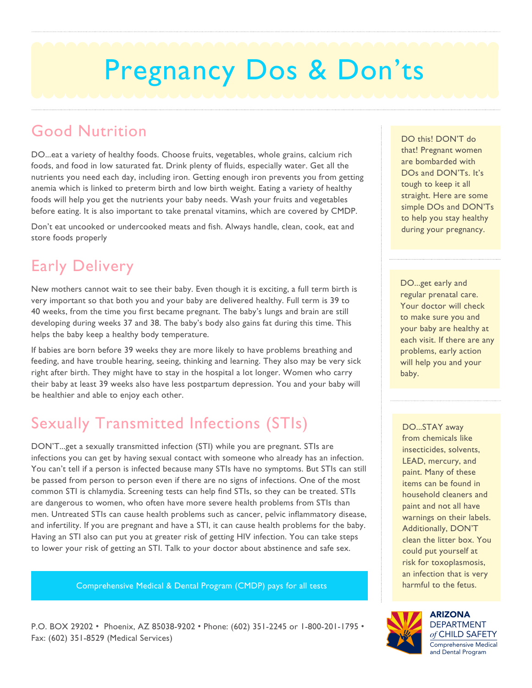# Pregnancy Dos & Don'ts

### Good Nutrition

DO...eat a variety of healthy foods. Choose fruits, vegetables, whole grains, calcium rich foods, and food in low saturated fat. Drink plenty of fluids, especially water. Get all the nutrients you need each day, including iron. Getting enough iron prevents you from getting anemia which is linked to preterm birth and low birth weight. Eating a variety of healthy foods will help you get the nutrients your baby needs. Wash your fruits and vegetables before eating. It is also important to take prenatal vitamins, which are covered by CMDP.

Don't eat uncooked or undercooked meats and fish. Always handle, clean, cook, eat and store foods properly

# Early Delivery

New mothers cannot wait to see their baby. Even though it is exciting, a full term birth is very important so that both you and your baby are delivered healthy. Full term is 39 to 40 weeks, from the time you first became pregnant. The baby's lungs and brain are still developing during weeks 37 and 38. The baby's body also gains fat during this time. This helps the baby keep a healthy body temperature.

If babies are born before 39 weeks they are more likely to have problems breathing and feeding, and have trouble hearing, seeing, thinking and learning. They also may be very sick right after birth. They might have to stay in the hospital a lot longer. Women who carry their baby at least 39 weeks also have less postpartum depression. You and your baby will be healthier and able to enjoy each other.

# Sexually Transmitted Infections (STIs)

DON'T...get a sexually transmitted infection (STI) while you are pregnant. STIs are infections you can get by having sexual contact with someone who already has an infection. You can't tell if a person is infected because many STIs have no symptoms. But STIs can still be passed from person to person even if there are no signs of infections. One of the most common STI is chlamydia. Screening tests can help find STIs, so they can be treated. STIs are dangerous to women, who often have more severe health problems from STIs than men. Untreated STIs can cause health problems such as cancer, pelvic inflammatory disease, and infertility. If you are pregnant and have a STI, it can cause health problems for the baby. Having an STI also can put you at greater risk of getting HIV infection. You can take steps to lower your risk of getting an STI. Talk to your doctor about abstinence and safe sex.

Comprehensive Medical & Dental Program (CMDP) pays for all tests

P.O. BOX 29202 • Phoenix, AZ 85038-9202 • Phone: (602) 351-2245 or 1-800-201-1795 • Fax: (602) 351-8529 (Medical Services)

DO this! DON'T do that! Pregnant women are bombarded with DOs and DON'Ts. It's tough to keep it all straight. Here are some simple DOs and DON'Ts to help you stay healthy during your pregnancy.

DO...get early and regular prenatal care. Your doctor will check to make sure you and your baby are healthy at each visit. If there are any problems, early action will help you and your baby.

DO...STAY away from chemicals like insecticides, solvents, LEAD, mercury, and paint. Many of these items can be found in household cleaners and paint and not all have warnings on their labels. Additionally, DON'T clean the litter box. You could put yourself at risk for toxoplasmosis, an infection that is very harmful to the fetus.



ARIZONA DEPARTMENT *of* CHILD SAFETY Comprehensive Medical and Dental Program